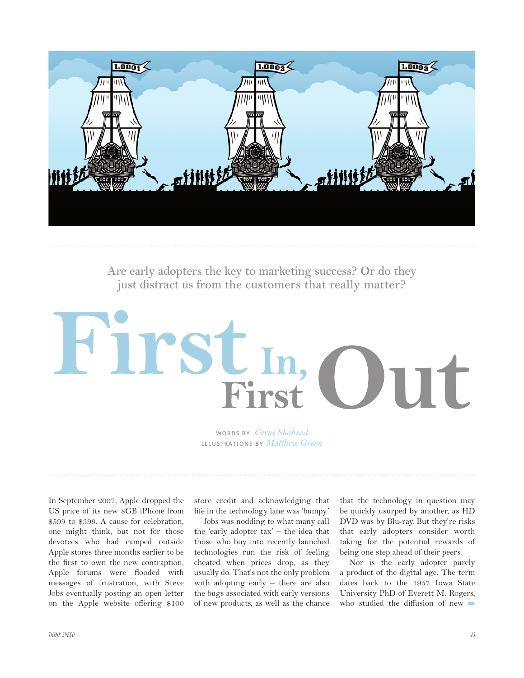

**Are early adopters the key to marketing success? Or do they just distract us from the customers that really matter?**

## First! Firs

**WORDS BY** *Cyrus Shahrad* **ILLUSTRATIONS BY** *Matthew Green*

In September 2007, Apple dropped the US price of its new 8GB iPhone from \$599 to \$399. A cause for celebration, one might think, but not for those devotees who had camped outside Apple stores three months earlier to be the first to own the new contraption. Apple forums were flooded with messages of frustration, with Steve Jobs eventually posting an open letter on the Apple website offering \$100

store credit and acknowledging that life in the technology lane was 'bumpy.'

Jobs was nodding to what many call the 'early adopter tax' – the idea that those who buy into recently launched technologies run the risk of feeling cheated when prices drop, as they usually do. That's not the only problem with adopting early – there are also the bugs associated with early versions of new products, as well as the chance

that the technology in question may be quickly usurped by another, as HD DVD was by Blu-ray. But they're risks that early adopters consider worth taking for the potential rewards of being one step ahead of their peers.

Nor is the early adopter purely a product of the digital age. The term dates back to the 1957 Iowa State University PhD of Everett M. Rogers, who studied the diffusion of new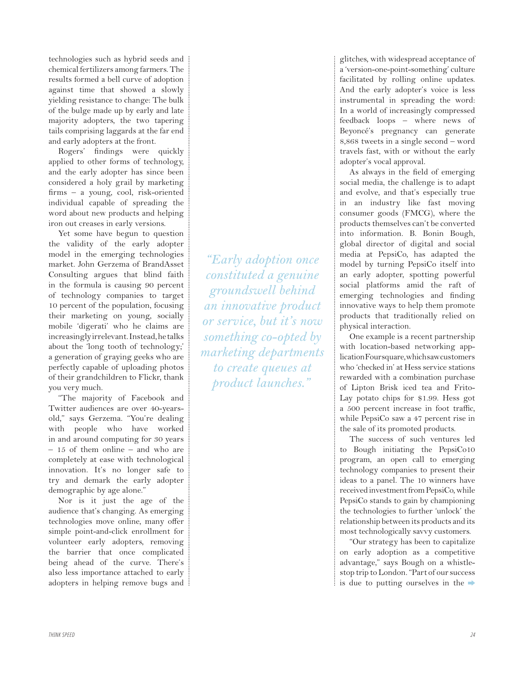technologies such as hybrid seeds and chemical fertilizers among farmers. The results formed a bell curve of adoption against time that showed a slowly yielding resistance to change: The bulk of the bulge made up by early and late majority adopters, the two tapering tails comprising laggards at the far end and early adopters at the front.

Rogers' findings were quickly applied to other forms of technology, and the early adopter has since been considered a holy grail by marketing firms – a young, cool, risk-oriented individual capable of spreading the word about new products and helping iron out creases in early versions.

Yet some have begun to question the validity of the early adopter model in the emerging technologies market. John Gerzema of BrandAsset Consulting argues that blind faith in the formula is causing 90 percent of technology companies to target 10 percent of the population, focusing their marketing on young, socially mobile 'digerati' who he claims are increasingly irrelevant. Instead, he talks about the 'long tooth of technology;' a generation of graying geeks who are perfectly capable of uploading photos of their grandchildren to Flickr, thank you very much.

"The majority of Facebook and Twitter audiences are over 40-yearsold," says Gerzema. "You're dealing with people who have worked in and around computing for 30 years – 15 of them online – and who are completely at ease with technological innovation. It's no longer safe to try and demark the early adopter demographic by age alone."

Nor is it just the age of the audience that's changing. As emerging technologies move online, many offer simple point-and-click enrollment for volunteer early adopters, removing the barrier that once complicated being ahead of the curve. There's also less importance attached to early adopters in helping remove bugs and

*"Early adoption once constituted a genuine groundswell behind an innovative product or service, but it's now something co-opted by marketing departments to create queues at product launches."*

glitches, with widespread acceptance of a 'version-one-point-something' culture facilitated by rolling online updates. And the early adopter's voice is less instrumental in spreading the word: In a world of increasingly compressed feedback loops – where news of Beyoncé's pregnancy can generate 8,868 tweets in a single second – word travels fast, with or without the early adopter's vocal approval.

As always in the field of emerging social media, the challenge is to adapt and evolve, and that's especially true in an industry like fast moving consumer goods (FMCG), where the products themselves can't be converted into information. B. Bonin Bough, global director of digital and social media at PepsiCo, has adapted the model by turning PepsiCo itself into an early adopter, spotting powerful social platforms amid the raft of emerging technologies and finding innovative ways to help them promote products that traditionally relied on physical interaction.

One example is a recent partnership with location-based networking application Foursquare, which saw customers who 'checked in' at Hess service stations rewarded with a combination purchase of Lipton Brisk iced tea and Frito-Lay potato chips for \$1.99. Hess got a 500 percent increase in foot traffic, while PepsiCo saw a 47 percent rise in the sale of its promoted products.

The success of such ventures led to Bough initiating the PepsiCo10 program, an open call to emerging technology companies to present their ideas to a panel. The 10 winners have received investment from PepsiCo, while PepsiCo stands to gain by championing the technologies to further 'unlock' the relationship between its products and its most technologically savvy customers.

"Our strategy has been to capitalize on early adoption as a competitive advantage," says Bough on a whistlestop trip to London. "Part of our success is due to putting ourselves in the